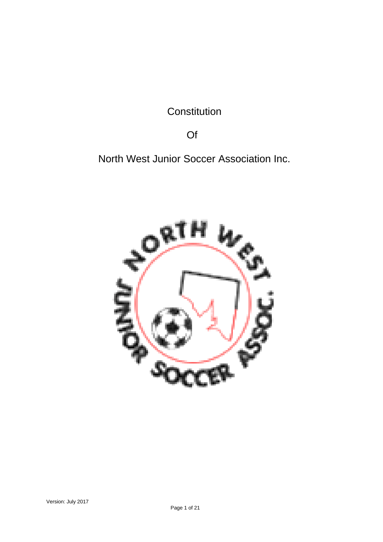**Constitution** 

Of

North West Junior Soccer Association Inc.

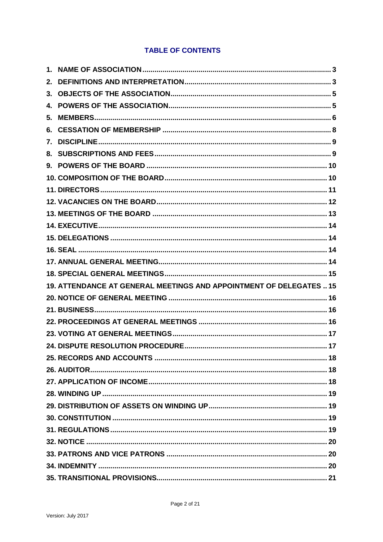# **TABLE OF CONTENTS**

| 19. ATTENDANCE AT GENERAL MEETINGS AND APPOINTMENT OF DELEGATES  15 |  |
|---------------------------------------------------------------------|--|
|                                                                     |  |
|                                                                     |  |
|                                                                     |  |
|                                                                     |  |
|                                                                     |  |
|                                                                     |  |
|                                                                     |  |
|                                                                     |  |
|                                                                     |  |
|                                                                     |  |
|                                                                     |  |
|                                                                     |  |
|                                                                     |  |
|                                                                     |  |
|                                                                     |  |
|                                                                     |  |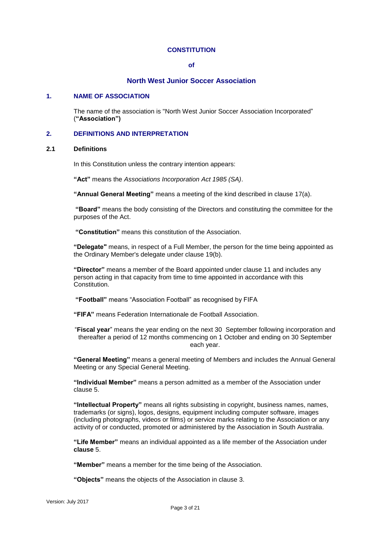### **CONSTITUTION**

#### **of**

# **North West Junior Soccer Association**

### <span id="page-2-0"></span>**1. NAME OF ASSOCIATION**

The name of the association is "North West Junior Soccer Association Incorporated" (**"Association")**

# <span id="page-2-1"></span>**2. DEFINITIONS AND INTERPRETATION**

### <span id="page-2-2"></span>**2.1 Definitions**

In this Constitution unless the contrary intention appears:

**"Act"** means the *Associations Incorporation Act 1985 (SA)*.

**"Annual General Meeting"** means a meeting of the kind described in clause 17(a).

**"Board"** means the body consisting of the Directors and constituting the committee for the purposes of the Act.

**"Constitution"** means this constitution of the Association.

**"Delegate"** means, in respect of a Full Member, the person for the time being appointed as the Ordinary Member's delegate under clause 19(b).

**"Director"** means a member of the Board appointed under clause 11 and includes any person acting in that capacity from time to time appointed in accordance with this Constitution.

**"Football"** means "Association Football" as recognised by FIFA

**"FIFA"** means Federation Internationale de Football Association.

"**Fiscal year**" means the year ending on the next 30 September following incorporation and thereafter a period of 12 months commencing on 1 October and ending on 30 September each year.

**"General Meeting"** means a general meeting of Members and includes the Annual General Meeting or any Special General Meeting.

**"Individual Member"** means a person admitted as a member of the Association under clause 5.

**"Intellectual Property"** means all rights subsisting in copyright, business names, names, trademarks (or signs), logos, designs, equipment including computer software, images (including photographs, videos or films) or service marks relating to the Association or any activity of or conducted, promoted or administered by the Association in South Australia.

**"Life Member"** means an individual appointed as a life member of the Association under **clause** 5.

**"Member"** means a member for the time being of the Association.

**"Objects"** means the objects of the Association in clause 3.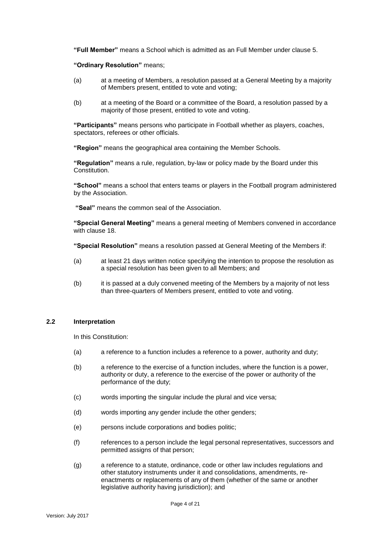**"Full Member"** means a School which is admitted as an Full Member under clause 5.

**"Ordinary Resolution"** means;

- (a) at a meeting of Members, a resolution passed at a General Meeting by a majority of Members present, entitled to vote and voting;
- (b) at a meeting of the Board or a committee of the Board, a resolution passed by a majority of those present, entitled to vote and voting.

**"Participants"** means persons who participate in Football whether as players, coaches, spectators, referees or other officials.

**"Region"** means the geographical area containing the Member Schools.

**"Regulation"** means a rule, regulation, by-law or policy made by the Board under this Constitution.

**"School"** means a school that enters teams or players in the Football program administered by the Association.

**"Seal"** means the common seal of the Association.

**"Special General Meeting"** means a general meeting of Members convened in accordance with clause 18.

**"Special Resolution"** means a resolution passed at General Meeting of the Members if:

- (a) at least 21 days written notice specifying the intention to propose the resolution as a special resolution has been given to all Members; and
- (b) it is passed at a duly convened meeting of the Members by a majority of not less than three-quarters of Members present, entitled to vote and voting.

# **2.2 Interpretation**

In this Constitution:

- (a) a reference to a function includes a reference to a power, authority and duty;
- (b) a reference to the exercise of a function includes, where the function is a power, authority or duty, a reference to the exercise of the power or authority of the performance of the duty;
- (c) words importing the singular include the plural and vice versa;
- (d) words importing any gender include the other genders;
- (e) persons include corporations and bodies politic;
- (f) references to a person include the legal personal representatives, successors and permitted assigns of that person;
- (g) a reference to a statute, ordinance, code or other law includes regulations and other statutory instruments under it and consolidations, amendments, reenactments or replacements of any of them (whether of the same or another legislative authority having jurisdiction); and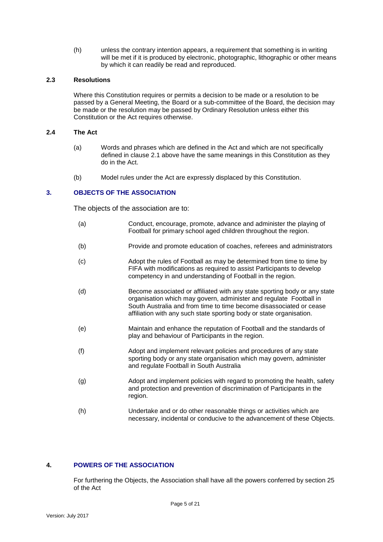(h) unless the contrary intention appears, a requirement that something is in writing will be met if it is produced by electronic, photographic, lithographic or other means by which it can readily be read and reproduced.

# **2.3 Resolutions**

Where this Constitution requires or permits a decision to be made or a resolution to be passed by a General Meeting, the Board or a sub-committee of the Board, the decision may be made or the resolution may be passed by Ordinary Resolution unless either this Constitution or the Act requires otherwise.

# **2.4 The Act**

- (a) Words and phrases which are defined in the Act and which are not specifically defined in clause [2.1](#page-2-2) above have the same meanings in this Constitution as they do in the Act.
- (b) Model rules under the Act are expressly displaced by this Constitution.

# <span id="page-4-0"></span>**3. OBJECTS OF THE ASSOCIATION**

The objects of the association are to:

- (a) Conduct, encourage, promote, advance and administer the playing of Football for primary school aged children throughout the region.
- (b) Provide and promote education of coaches, referees and administrators
- (c) Adopt the rules of Football as may be determined from time to time by FIFA with modifications as required to assist Participants to develop competency in and understanding of Football in the region.
- (d) Become associated or affiliated with any state sporting body or any state organisation which may govern, administer and regulate Football in South Australia and from time to time become disassociated or cease affiliation with any such state sporting body or state organisation.
- (e) Maintain and enhance the reputation of Football and the standards of play and behaviour of Participants in the region.
- (f) Adopt and implement relevant policies and procedures of any state sporting body or any state organisation which may govern, administer and regulate Football in South Australia
- (g) Adopt and implement policies with regard to promoting the health, safety and protection and prevention of discrimination of Participants in the region.
- (h) Undertake and or do other reasonable things or activities which are necessary, incidental or conducive to the advancement of these Objects.

# <span id="page-4-1"></span>**4. POWERS OF THE ASSOCIATION**

For furthering the Objects, the Association shall have all the powers conferred by section 25 of the Act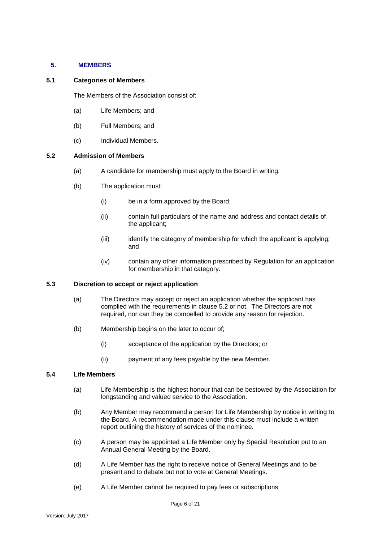# <span id="page-5-0"></span>**5. MEMBERS**

### **5.1 Categories of Members**

The Members of the Association consist of:

- (a) Life Members; and
- (b) Full Members; and
- (c) Individual Members.

### **5.2 Admission of Members**

- (a) A candidate for membership must apply to the Board in writing.
- (b) The application must:
	- (i) be in a form approved by the Board;
	- (ii) contain full particulars of the name and address and contact details of the applicant;
	- (iii) identify the category of membership for which the applicant is applying; and
	- (iv) contain any other information prescribed by Regulation for an application for membership in that category.

### **5.3 Discretion to accept or reject application**

- (a) The Directors may accept or reject an application whether the applicant has complied with the requirements in clause 5.2 or not. The Directors are not required, nor can they be compelled to provide any reason for rejection.
- (b) Membership begins on the later to occur of;
	- (i) acceptance of the application by the Directors; or
	- (ii) payment of any fees payable by the new Member.

# **5.4 Life Members**

- (a) Life Membership is the highest honour that can be bestowed by the Association for longstanding and valued service to the Association.
- (b) Any Member may recommend a person for Life Membership by notice in writing to the Board. A recommendation made under this clause must include a written report outlining the history of services of the nominee.
- (c) A person may be appointed a Life Member only by Special Resolution put to an Annual General Meeting by the Board.
- (d) A Life Member has the right to receive notice of General Meetings and to be present and to debate but not to vote at General Meetings.
- (e) A Life Member cannot be required to pay fees or subscriptions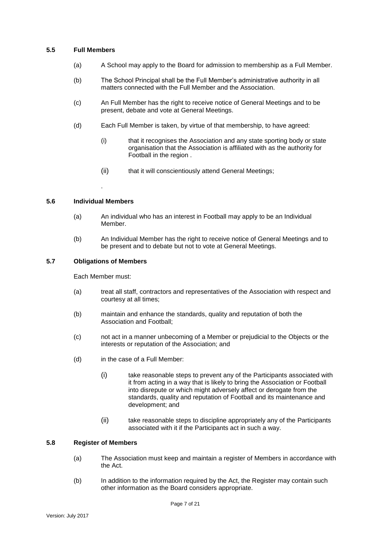# **5.5 Full Members**

- (a) A School may apply to the Board for admission to membership as a Full Member.
- (b) The School Principal shall be the Full Member's administrative authority in all matters connected with the Full Member and the Association.
- (c) An Full Member has the right to receive notice of General Meetings and to be present, debate and vote at General Meetings.
- (d) Each Full Member is taken, by virtue of that membership, to have agreed:
	- (i) that it recognises the Association and any state sporting body or state organisation that the Association is affiliated with as the authority for Football in the region .
	- (ii) that it will conscientiously attend General Meetings;

# **5.6 Individual Members**

.

- (a) An individual who has an interest in Football may apply to be an Individual Member.
- (b) An Individual Member has the right to receive notice of General Meetings and to be present and to debate but not to vote at General Meetings.

### **5.7 Obligations of Members**

Each Member must:

- (a) treat all staff, contractors and representatives of the Association with respect and courtesy at all times;
- (b) maintain and enhance the standards, quality and reputation of both the Association and Football;
- (c) not act in a manner unbecoming of a Member or prejudicial to the Objects or the interests or reputation of the Association; and
- (d) in the case of a Full Member:
	- (i) take reasonable steps to prevent any of the Participants associated with it from acting in a way that is likely to bring the Association or Football into disrepute or which might adversely affect or derogate from the standards, quality and reputation of Football and its maintenance and development; and
	- (ii) take reasonable steps to discipline appropriately any of the Participants associated with it if the Participants act in such a way.

### **5.8 Register of Members**

- (a) The Association must keep and maintain a register of Members in accordance with the Act.
- (b) In addition to the information required by the Act, the Register may contain such other information as the Board considers appropriate.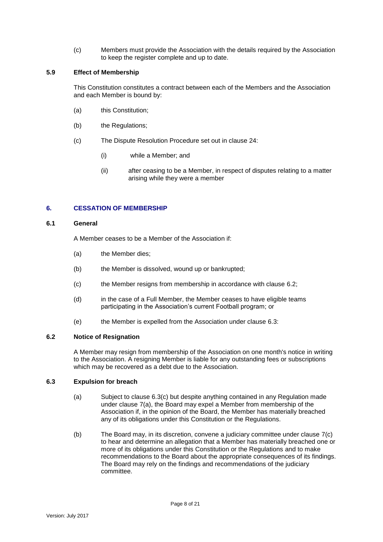(c) Members must provide the Association with the details required by the Association to keep the register complete and up to date.

# **5.9 Effect of Membership**

This Constitution constitutes a contract between each of the Members and the Association and each Member is bound by:

- (a) this Constitution;
- (b) the Regulations;
- (c) The Dispute Resolution Procedure set out in clause 24:
	- (i) while a Member; and
	- (ii) after ceasing to be a Member, in respect of disputes relating to a matter arising while they were a member

# <span id="page-7-0"></span>**6. CESSATION OF MEMBERSHIP**

# **6.1 General**

A Member ceases to be a Member of the Association if:

- (a) the Member dies;
- (b) the Member is dissolved, wound up or bankrupted;
- (c) the Member resigns from membership in accordance with clause 6.2;
- (d) in the case of a Full Member, the Member ceases to have eligible teams participating in the Association's current Football program; or
- (e) the Member is expelled from the Association under clause 6.3:

### **6.2 Notice of Resignation**

A Member may resign from membership of the Association on one month's notice in writing to the Association. A resigning Member is liable for any outstanding fees or subscriptions which may be recovered as a debt due to the Association.

### **6.3 Expulsion for breach**

- (a) Subject to clause 6.3(c) but despite anything contained in any Regulation made under clause 7(a), the Board may expel a Member from membership of the Association if, in the opinion of the Board, the Member has materially breached any of its obligations under this Constitution or the Regulations.
- (b) The Board may, in its discretion, convene a judiciary committee under clause 7(c) to hear and determine an allegation that a Member has materially breached one or more of its obligations under this Constitution or the Regulations and to make recommendations to the Board about the appropriate consequences of its findings. The Board may rely on the findings and recommendations of the judiciary committee.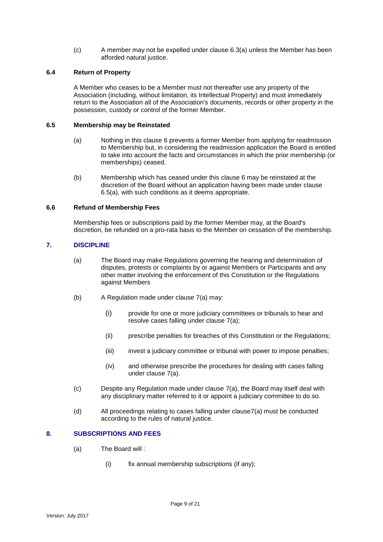(c) A member may not be expelled under clause 6.3(a) unless the Member has been afforded natural justice.

# **6.4 Return of Property**

A Member who ceases to be a Member must not thereafter use any property of the Association (including, without limitation, its Intellectual Property) and must immediately return to the Association all of the Association's documents, records or other property in the possession, custody or control of the former Member.

# **6.5 Membership may be Reinstated**

- (a) Nothing in this clause 6 prevents a former Member from applying for readmission to Membership but, in considering the readmission application the Board is entitled to take into account the facts and circumstances in which the prior membership (or memberships) ceased.
- (b) Membership which has ceased under this clause 6 may be reinstated at the discretion of the Board without an application having been made under clause 6.5(a), with such conditions as it deems appropriate.

# **6.6 Refund of Membership Fees**

Membership fees or subscriptions paid by the former Member may, at the Board's discretion, be refunded on a pro-rata basis to the Member on cessation of the membership.

# <span id="page-8-0"></span>**7. DISCIPLINE**

- (a) The Board may make Regulations governing the hearing and determination of disputes, protests or complaints by or against Members or Participants and any other matter involving the enforcement of this Constitution or the Regulations against Members
- (b) A Regulation made under clause 7(a) may:
	- (i) provide for one or more judiciary committees or tribunals to hear and resolve cases falling under clause 7(a);
	- (ii) prescribe penalties for breaches of this Constitution or the Regulations;
	- (iii) invest a judiciary committee or tribunal with power to impose penalties;
	- (iv) and otherwise prescribe the procedures for dealing with cases falling under clause 7(a).
- (c) Despite any Regulation made under clause 7(a), the Board may itself deal with any disciplinary matter referred to it or appoint a judiciary committee to do so.
- (d) All proceedings relating to cases falling under clause7(a) must be conducted according to the rules of natural justice.

# <span id="page-8-1"></span>**8. SUBSCRIPTIONS AND FEES**

- (a) The Board will :
	- (i) fix annual membership subscriptions (if any);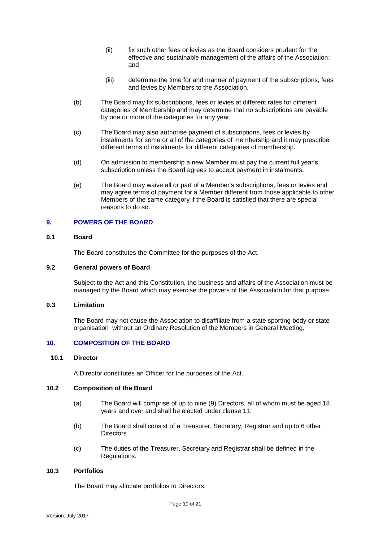- (ii) fix such other fees or levies as the Board considers prudent for the effective and sustainable management of the affairs of the Association; and
- (iii) determine the time for and manner of payment of the subscriptions, fees and levies by Members to the Association.
- (b) The Board may fix subscriptions, fees or levies at different rates for different categories of Membership and may determine that no subscriptions are payable by one or more of the categories for any year.
- (c) The Board may also authorise payment of subscriptions, fees or levies by instalments for some or all of the categories of membership and it may prescribe different terms of instalments for different categories of membership.
- (d) On admission to membership a new Member must pay the current full year's subscription unless the Board agrees to accept payment in instalments.
- (e) The Board may waive all or part of a Member's subscriptions, fees or levies and may agree terms of payment for a Member different from those applicable to other Members of the same category if the Board is satisfied that there are special reasons to do so.

### <span id="page-9-0"></span>**9. POWERS OF THE BOARD**

# **9.1 Board**

The Board constitutes the Committee for the purposes of the Act.

#### **9.2 General powers of Board**

Subject to the Act and this Constitution, the business and affairs of the Association must be managed by the Board which may exercise the powers of the Association for that purpose.

### **9.3 Limitation**

The Board may not cause the Association to disaffiliate from a state sporting body or state organisation without an Ordinary Resolution of the Members in General Meeting.

# <span id="page-9-1"></span>**10. COMPOSITION OF THE BOARD**

#### **10.1 Director**

A Director constitutes an Officer for the purposes of the Act.

#### **10.2 Composition of the Board**

- (a) The Board will comprise of up to nine (9) Directors, all of whom must be aged 18 years and over and shall be elected under clause 11.
- (b) The Board shall consist of a Treasurer, Secretary, Registrar and up to 6 other **Directors**
- (c) The duties of the Treasurer, Secretary and Registrar shall be defined in the Regulations.

### **10.3 Portfolios**

The Board may allocate portfolios to Directors.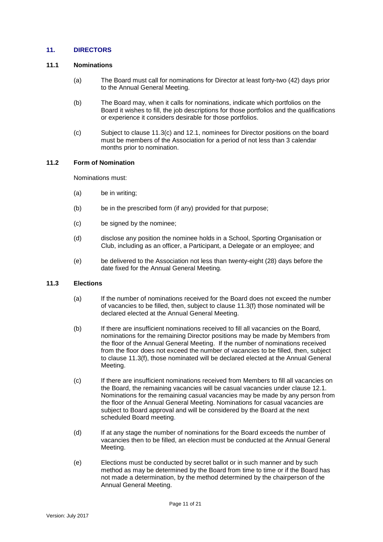# <span id="page-10-0"></span>**11. DIRECTORS**

### **11.1 Nominations**

- (a) The Board must call for nominations for Director at least forty-two (42) days prior to the Annual General Meeting.
- (b) The Board may, when it calls for nominations, indicate which portfolios on the Board it wishes to fill, the job descriptions for those portfolios and the qualifications or experience it considers desirable for those portfolios.
- (c) Subject to clause 11.3(c) and 12.1, nominees for Director positions on the board must be members of the Association for a period of not less than 3 calendar months prior to nomination.

### **11.2 Form of Nomination**

Nominations must:

- (a) be in writing;
- (b) be in the prescribed form (if any) provided for that purpose;
- (c) be signed by the nominee;
- (d) disclose any position the nominee holds in a School, Sporting Organisation or Club, including as an officer, a Participant, a Delegate or an employee; and
- (e) be delivered to the Association not less than twenty-eight (28) days before the date fixed for the Annual General Meeting.

# **11.3 Elections**

- (a) If the number of nominations received for the Board does not exceed the number of vacancies to be filled, then, subject to clause 11.3(f) those nominated will be declared elected at the Annual General Meeting.
- (b) If there are insufficient nominations received to fill all vacancies on the Board, nominations for the remaining Director positions may be made by Members from the floor of the Annual General Meeting. If the number of nominations received from the floor does not exceed the number of vacancies to be filled, then, subject to clause 11.3(f), those nominated will be declared elected at the Annual General Meeting.
- (c) If there are insufficient nominations received from Members to fill all vacancies on the Board, the remaining vacancies will be casual vacancies under clause 12.1. Nominations for the remaining casual vacancies may be made by any person from the floor of the Annual General Meeting. Nominations for casual vacancies are subject to Board approval and will be considered by the Board at the next scheduled Board meeting.
- (d) If at any stage the number of nominations for the Board exceeds the number of vacancies then to be filled, an election must be conducted at the Annual General Meeting.
- (e) Elections must be conducted by secret ballot or in such manner and by such method as may be determined by the Board from time to time or if the Board has not made a determination, by the method determined by the chairperson of the Annual General Meeting.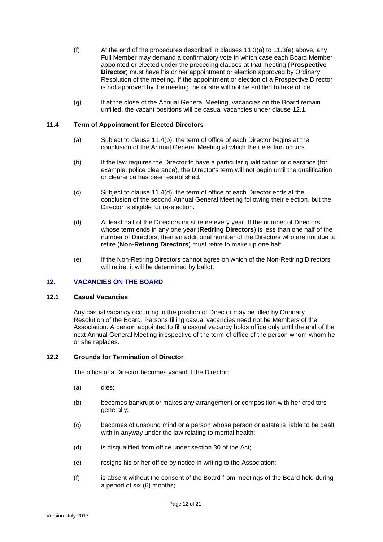- (f) At the end of the procedures described in clauses  $11.3(a)$  to  $11.3(e)$  above, any Full Member may demand a confirmatory vote in which case each Board Member appointed or elected under the preceding clauses at that meeting (**Prospective Director**) must have his or her appointment or election approved by Ordinary Resolution of the meeting. If the appointment or election of a Prospective Director is not approved by the meeting, he or she will not be entitled to take office.
- (g) If at the close of the Annual General Meeting, vacancies on the Board remain unfilled, the vacant positions will be casual vacancies under clause 12.1.

# **11.4 Term of Appointment for Elected Directors**

- (a) Subject to clause 11.4(b), the term of office of each Director begins at the conclusion of the Annual General Meeting at which their election occurs.
- (b) If the law requires the Director to have a particular qualification or clearance (for example, police clearance), the Director's term will not begin until the qualification or clearance has been established.
- (c) Subject to clause 11.4(d), the term of office of each Director ends at the conclusion of the second Annual General Meeting following their election, but the Director is eligible for re-election.
- (d) At least half of the Directors must retire every year. If the number of Directors whose term ends in any one year (**Retiring Directors**) is less than one half of the number of Directors, then an additional number of the Directors who are not due to retire (**Non-Retiring Directors**) must retire to make up one half.
- (e) If the Non-Retiring Directors cannot agree on which of the Non-Retiring Directors will retire, it will be determined by ballot.

# <span id="page-11-0"></span>**12. VACANCIES ON THE BOARD**

### **12.1 Casual Vacancies**

Any casual vacancy occurring in the position of Director may be filled by Ordinary Resolution of the Board. Persons filling casual vacancies need not be Members of the Association. A person appointed to fill a casual vacancy holds office only until the end of the next Annual General Meeting irrespective of the term of office of the person whom whom he or she replaces.

# **12.2 Grounds for Termination of Director**

The office of a Director becomes vacant if the Director:

- (a) dies;
- (b) becomes bankrupt or makes any arrangement or composition with her creditors generally;
- (c) becomes of unsound mind or a person whose person or estate is liable to be dealt with in anyway under the law relating to mental health;
- (d) is disqualified from office under section 30 of the Act;
- (e) resigns his or her office by notice in writing to the Association;
- (f) is absent without the consent of the Board from meetings of the Board held during a period of six (6) months;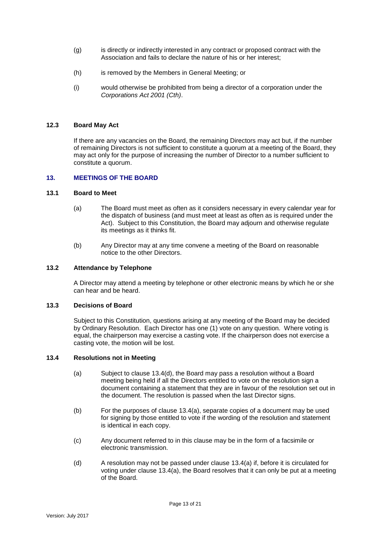- (g) is directly or indirectly interested in any contract or proposed contract with the Association and fails to declare the nature of his or her interest;
- (h) is removed by the Members in General Meeting; or
- (i) would otherwise be prohibited from being a director of a corporation under the *Corporations Act 2001 (Cth)*.

# **12.3 Board May Act**

If there are any vacancies on the Board, the remaining Directors may act but, if the number of remaining Directors is not sufficient to constitute a quorum at a meeting of the Board, they may act only for the purpose of increasing the number of Director to a number sufficient to constitute a quorum.

#### <span id="page-12-0"></span>**13. MEETINGS OF THE BOARD**

#### **13.1 Board to Meet**

- (a) The Board must meet as often as it considers necessary in every calendar year for the dispatch of business (and must meet at least as often as is required under the Act). Subject to this Constitution, the Board may adjourn and otherwise regulate its meetings as it thinks fit.
- (b) Any Director may at any time convene a meeting of the Board on reasonable notice to the other Directors.

### **13.2 Attendance by Telephone**

A Director may attend a meeting by telephone or other electronic means by which he or she can hear and be heard.

#### **13.3 Decisions of Board**

Subject to this Constitution, questions arising at any meeting of the Board may be decided by Ordinary Resolution. Each Director has one (1) vote on any question. Where voting is equal, the chairperson may exercise a casting vote. If the chairperson does not exercise a casting vote, the motion will be lost.

#### **13.4 Resolutions not in Meeting**

- (a) Subject to clause 13.4(d), the Board may pass a resolution without a Board meeting being held if all the Directors entitled to vote on the resolution sign a document containing a statement that they are in favour of the resolution set out in the document. The resolution is passed when the last Director signs.
- (b) For the purposes of clause 13.4(a), separate copies of a document may be used for signing by those entitled to vote if the wording of the resolution and statement is identical in each copy.
- (c) Any document referred to in this clause may be in the form of a facsimile or electronic transmission.
- (d) A resolution may not be passed under clause 13.4(a) if, before it is circulated for voting under clause 13.4(a), the Board resolves that it can only be put at a meeting of the Board.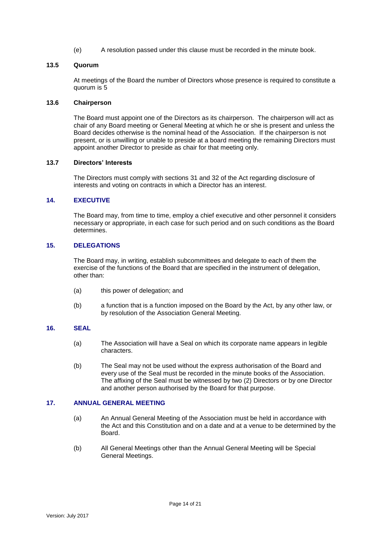(e) A resolution passed under this clause must be recorded in the minute book.

### **13.5 Quorum**

At meetings of the Board the number of Directors whose presence is required to constitute a quorum is 5

### **13.6 Chairperson**

The Board must appoint one of the Directors as its chairperson. The chairperson will act as chair of any Board meeting or General Meeting at which he or she is present and unless the Board decides otherwise is the nominal head of the Association. If the chairperson is not present, or is unwilling or unable to preside at a board meeting the remaining Directors must appoint another Director to preside as chair for that meeting only.

### **13.7 Directors' Interests**

The Directors must comply with sections 31 and 32 of the Act regarding disclosure of interests and voting on contracts in which a Director has an interest.

# <span id="page-13-0"></span>**14. EXECUTIVE**

The Board may, from time to time, employ a chief executive and other personnel it considers necessary or appropriate, in each case for such period and on such conditions as the Board determines.

# <span id="page-13-1"></span>**15. DELEGATIONS**

The Board may, in writing, establish subcommittees and delegate to each of them the exercise of the functions of the Board that are specified in the instrument of delegation, other than:

- (a) this power of delegation; and
- (b) a function that is a function imposed on the Board by the Act, by any other law, or by resolution of the Association General Meeting.

# <span id="page-13-2"></span>**16. SEAL**

- (a) The Association will have a Seal on which its corporate name appears in legible characters.
- (b) The Seal may not be used without the express authorisation of the Board and every use of the Seal must be recorded in the minute books of the Association. The affixing of the Seal must be witnessed by two (2) Directors or by one Director and another person authorised by the Board for that purpose.

### <span id="page-13-3"></span>**17. ANNUAL GENERAL MEETING**

- (a) An Annual General Meeting of the Association must be held in accordance with the Act and this Constitution and on a date and at a venue to be determined by the Board.
- (b) All General Meetings other than the Annual General Meeting will be Special General Meetings.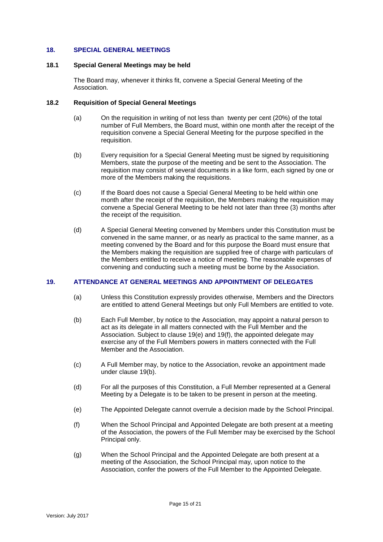### <span id="page-14-0"></span>**18. SPECIAL GENERAL MEETINGS**

#### **18.1 Special General Meetings may be held**

The Board may, whenever it thinks fit, convene a Special General Meeting of the Association.

### **18.2 Requisition of Special General Meetings**

- (a) On the requisition in writing of not less than twenty per cent (20%) of the total number of Full Members, the Board must, within one month after the receipt of the requisition convene a Special General Meeting for the purpose specified in the requisition.
- (b) Every requisition for a Special General Meeting must be signed by requisitioning Members, state the purpose of the meeting and be sent to the Association. The requisition may consist of several documents in a like form, each signed by one or more of the Members making the requisitions.
- (c) If the Board does not cause a Special General Meeting to be held within one month after the receipt of the requisition, the Members making the requisition may convene a Special General Meeting to be held not later than three (3) months after the receipt of the requisition.
- (d) A Special General Meeting convened by Members under this Constitution must be convened in the same manner, or as nearly as practical to the same manner, as a meeting convened by the Board and for this purpose the Board must ensure that the Members making the requisition are supplied free of charge with particulars of the Members entitled to receive a notice of meeting. The reasonable expenses of convening and conducting such a meeting must be borne by the Association.

### <span id="page-14-1"></span>**19. ATTENDANCE AT GENERAL MEETINGS AND APPOINTMENT OF DELEGATES**

- (a) Unless this Constitution expressly provides otherwise, Members and the Directors are entitled to attend General Meetings but only Full Members are entitled to vote.
- (b) Each Full Member, by notice to the Association, may appoint a natural person to act as its delegate in all matters connected with the Full Member and the Association. Subject to clause 19(e) and 19(f), the appointed delegate may exercise any of the Full Members powers in matters connected with the Full Member and the Association.
- (c) A Full Member may, by notice to the Association, revoke an appointment made under clause 19(b).
- (d) For all the purposes of this Constitution, a Full Member represented at a General Meeting by a Delegate is to be taken to be present in person at the meeting.
- (e) The Appointed Delegate cannot overrule a decision made by the School Principal.
- (f) When the School Principal and Appointed Delegate are both present at a meeting of the Association, the powers of the Full Member may be exercised by the School Principal only.
- (g) When the School Principal and the Appointed Delegate are both present at a meeting of the Association, the School Principal may, upon notice to the Association, confer the powers of the Full Member to the Appointed Delegate.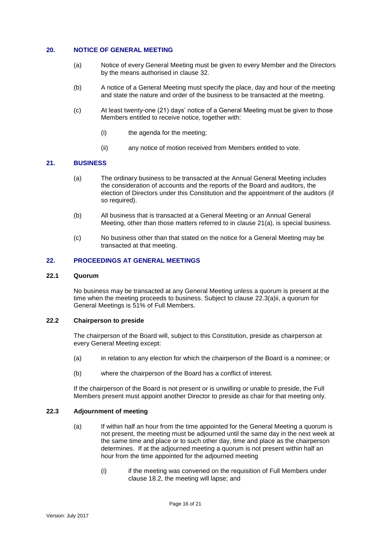# <span id="page-15-0"></span>**20. NOTICE OF GENERAL MEETING**

- (a) Notice of every General Meeting must be given to every Member and the Directors by the means authorised in clause 32.
- (b) A notice of a General Meeting must specify the place, day and hour of the meeting and state the nature and order of the business to be transacted at the meeting.
- (c) At least twenty-one (21) days' notice of a General Meeting must be given to those Members entitled to receive notice, together with:
	- (i) the agenda for the meeting;
	- (ii) any notice of motion received from Members entitled to vote.

# <span id="page-15-1"></span>**21. BUSINESS**

- (a) The ordinary business to be transacted at the Annual General Meeting includes the consideration of accounts and the reports of the Board and auditors, the election of Directors under this Constitution and the appointment of the auditors (if so required).
- (b) All business that is transacted at a General Meeting or an Annual General Meeting, other than those matters referred to in clause 21(a), is special business.
- (c) No business other than that stated on the notice for a General Meeting may be transacted at that meeting.

### <span id="page-15-2"></span>**22. PROCEEDINGS AT GENERAL MEETINGS**

# **22.1 Quorum**

No business may be transacted at any General Meeting unless a quorum is present at the time when the meeting proceeds to business. Subject to clause 22.3(a)ii, a quorum for General Meetings is 51% of Full Members.

# **22.2 Chairperson to preside**

The chairperson of the Board will, subject to this Constitution, preside as chairperson at every General Meeting except:

- (a) in relation to any election for which the chairperson of the Board is a nominee; or
- (b) where the chairperson of the Board has a conflict of interest.

If the chairperson of the Board is not present or is unwilling or unable to preside, the Full Members present must appoint another Director to preside as chair for that meeting only.

### **22.3 Adjournment of meeting**

- (a) If within half an hour from the time appointed for the General Meeting a quorum is not present, the meeting must be adjourned until the same day in the next week at the same time and place or to such other day, time and place as the chairperson determines. If at the adjourned meeting a quorum is not present within half an hour from the time appointed for the adjourned meeting
	- (i) if the meeting was convened on the requisition of Full Members under clause 18.2, the meeting will lapse; and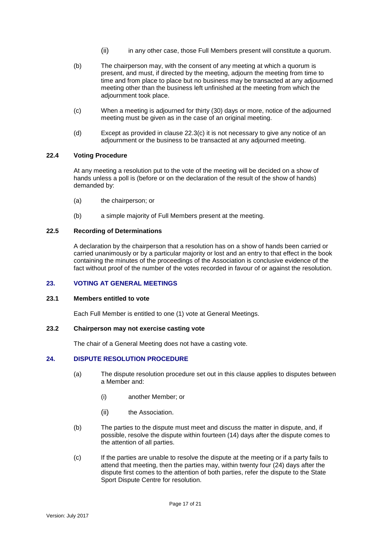- (ii) in any other case, those Full Members present will constitute a quorum.
- (b) The chairperson may, with the consent of any meeting at which a quorum is present, and must, if directed by the meeting, adjourn the meeting from time to time and from place to place but no business may be transacted at any adjourned meeting other than the business left unfinished at the meeting from which the adjournment took place.
- (c) When a meeting is adjourned for thirty (30) days or more, notice of the adjourned meeting must be given as in the case of an original meeting.
- (d) Except as provided in clause 22.3(c) it is not necessary to give any notice of an adjournment or the business to be transacted at any adjourned meeting.

# **22.4 Voting Procedure**

At any meeting a resolution put to the vote of the meeting will be decided on a show of hands unless a poll is (before or on the declaration of the result of the show of hands) demanded by:

- (a) the chairperson; or
- (b) a simple majority of Full Members present at the meeting.

# **22.5 Recording of Determinations**

A declaration by the chairperson that a resolution has on a show of hands been carried or carried unanimously or by a particular majority or lost and an entry to that effect in the book containing the minutes of the proceedings of the Association is conclusive evidence of the fact without proof of the number of the votes recorded in favour of or against the resolution.

# <span id="page-16-0"></span>**23. VOTING AT GENERAL MEETINGS**

### **23.1 Members entitled to vote**

Each Full Member is entitled to one (1) vote at General Meetings.

### **23.2 Chairperson may not exercise casting vote**

The chair of a General Meeting does not have a casting vote.

# <span id="page-16-1"></span>**24. DISPUTE RESOLUTION PROCEDURE**

- (a) The dispute resolution procedure set out in this clause applies to disputes between a Member and:
	- (i) another Member; or
	- (ii) the Association.
- (b) The parties to the dispute must meet and discuss the matter in dispute, and, if possible, resolve the dispute within fourteen (14) days after the dispute comes to the attention of all parties.
- (c) If the parties are unable to resolve the dispute at the meeting or if a party fails to attend that meeting, then the parties may, within twenty four (24) days after the dispute first comes to the attention of both parties, refer the dispute to the State Sport Dispute Centre for resolution.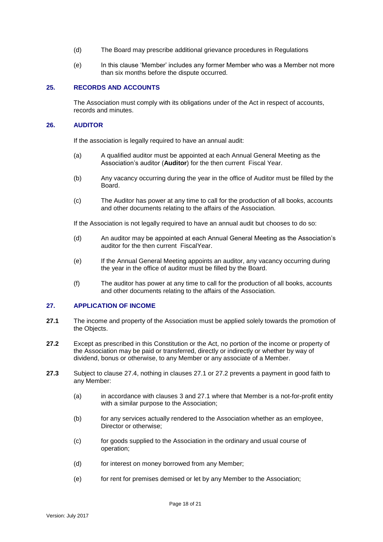- (d) The Board may prescribe additional grievance procedures in Regulations
- (e) In this clause 'Member' includes any former Member who was a Member not more than six months before the dispute occurred.

### <span id="page-17-0"></span>**25. RECORDS AND ACCOUNTS**

The Association must comply with its obligations under of the Act in respect of accounts, records and minutes.

### <span id="page-17-1"></span>**26. AUDITOR**

If the association is legally required to have an annual audit:

- (a) A qualified auditor must be appointed at each Annual General Meeting as the Association's auditor (**Auditor**) for the then current Fiscal Year.
- (b) Any vacancy occurring during the year in the office of Auditor must be filled by the Board.
- (c) The Auditor has power at any time to call for the production of all books, accounts and other documents relating to the affairs of the Association.

If the Association is not legally required to have an annual audit but chooses to do so:

- (d) An auditor may be appointed at each Annual General Meeting as the Association's auditor for the then current FiscalYear.
- (e) If the Annual General Meeting appoints an auditor, any vacancy occurring during the year in the office of auditor must be filled by the Board.
- (f) The auditor has power at any time to call for the production of all books, accounts and other documents relating to the affairs of the Association.

#### <span id="page-17-2"></span>**27. APPLICATION OF INCOME**

- **27.1** The income and property of the Association must be applied solely towards the promotion of the Objects.
- **27.2** Except as prescribed in this Constitution or the Act, no portion of the income or property of the Association may be paid or transferred, directly or indirectly or whether by way of dividend, bonus or otherwise, to any Member or any associate of a Member.
- **27.3** Subject to clause 27.4, nothing in clauses 27.1 or 27.2 prevents a payment in good faith to any Member:
	- (a) in accordance with clauses [3](#page-4-0) and 27.1 where that Member is a not-for-profit entity with a similar purpose to the Association;
	- (b) for any services actually rendered to the Association whether as an employee, Director or otherwise;
	- (c) for goods supplied to the Association in the ordinary and usual course of operation;
	- (d) for interest on money borrowed from any Member;
	- (e) for rent for premises demised or let by any Member to the Association;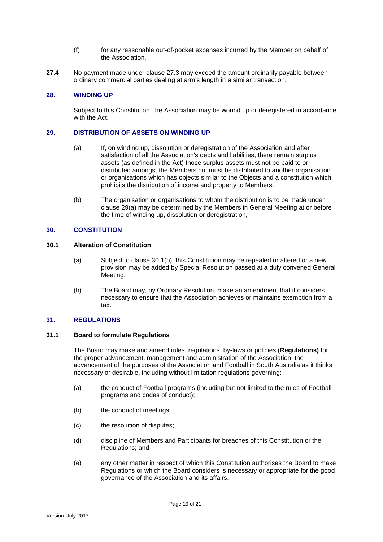- (f) for any reasonable out-of-pocket expenses incurred by the Member on behalf of the Association.
- **27.4** No payment made under clause 27.3 may exceed the amount ordinarily payable between ordinary commercial parties dealing at arm's length in a similar transaction.

# <span id="page-18-0"></span>**28. WINDING UP**

Subject to this Constitution, the Association may be wound up or deregistered in accordance with the Act.

### <span id="page-18-1"></span>**29. DISTRIBUTION OF ASSETS ON WINDING UP**

- (a) If, on winding up, dissolution or deregistration of the Association and after satisfaction of all the Association's debts and liabilities, there remain surplus assets (as defined in the Act) those surplus assets must not be paid to or distributed amongst the Members but must be distributed to another organisation or organisations which has objects similar to the Objects and a constitution which prohibits the distribution of income and property to Members.
- <span id="page-18-2"></span>(b) The organisation or organisations to whom the distribution is to be made under clause 29(a) may be determined by the Members in General Meeting at or before the time of winding up, dissolution or deregistration,

# **30. CONSTITUTION**

# **30.1 Alteration of Constitution**

- (a) Subject to clause 30.1(b), this Constitution may be repealed or altered or a new provision may be added by Special Resolution passed at a duly convened General Meeting.
- (b) The Board may, by Ordinary Resolution, make an amendment that it considers necessary to ensure that the Association achieves or maintains exemption from a tax.

### <span id="page-18-3"></span>**31. REGULATIONS**

# **31.1 Board to formulate Regulations**

The Board may make and amend rules, regulations, by-laws or policies (**Regulations)** for the proper advancement, management and administration of the Association, the advancement of the purposes of the Association and Football in South Australia as it thinks necessary or desirable, including without limitation regulations governing:

- (a) the conduct of Football programs (including but not limited to the rules of Football programs and codes of conduct);
- (b) the conduct of meetings;
- (c) the resolution of disputes;
- (d) discipline of Members and Participants for breaches of this Constitution or the Regulations; and
- (e) any other matter in respect of which this Constitution authorises the Board to make Regulations or which the Board considers is necessary or appropriate for the good governance of the Association and its affairs.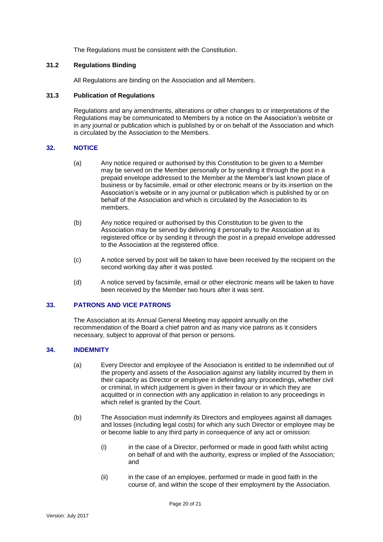The Regulations must be consistent with the Constitution.

# **31.2 Regulations Binding**

All Regulations are binding on the Association and all Members.

## **31.3 Publication of Regulations**

Regulations and any amendments, alterations or other changes to or interpretations of the Regulations may be communicated to Members by a notice on the Association's website or in any journal or publication which is published by or on behalf of the Association and which is circulated by the Association to the Members.

# <span id="page-19-0"></span>**32. NOTICE**

- (a) Any notice required or authorised by this Constitution to be given to a Member may be served on the Member personally or by sending it through the post in a prepaid envelope addressed to the Member at the Member's last known place of business or by facsimile, email or other electronic means or by its insertion on the Association's website or in any journal or publication which is published by or on behalf of the Association and which is circulated by the Association to its members.
- (b) Any notice required or authorised by this Constitution to be given to the Association may be served by delivering it personally to the Association at its registered office or by sending it through the post in a prepaid envelope addressed to the Association at the registered office.
- (c) A notice served by post will be taken to have been received by the recipient on the second working day after it was posted.
- (d) A notice served by facsimile, email or other electronic means will be taken to have been received by the Member two hours after it was sent.

## <span id="page-19-1"></span>**33. PATRONS AND VICE PATRONS**

The Association at its Annual General Meeting may appoint annually on the recommendation of the Board a chief patron and as many vice patrons as it considers necessary, subject to approval of that person or persons.

# <span id="page-19-2"></span>**34. INDEMNITY**

- (a) Every Director and employee of the Association is entitled to be indemnified out of the property and assets of the Association against any liability incurred by them in their capacity as Director or employee in defending any proceedings, whether civil or criminal, in which judgement is given in their favour or in which they are acquitted or in connection with any application in relation to any proceedings in which relief is granted by the Court.
- (b) The Association must indemnify its Directors and employees against all damages and losses (including legal costs) for which any such Director or employee may be or become liable to any third party in consequence of any act or omission:
	- (i) in the case of a Director, performed or made in good faith whilst acting on behalf of and with the authority, express or implied of the Association; and
	- (ii) in the case of an employee, performed or made in good faith in the course of, and within the scope of their employment by the Association.